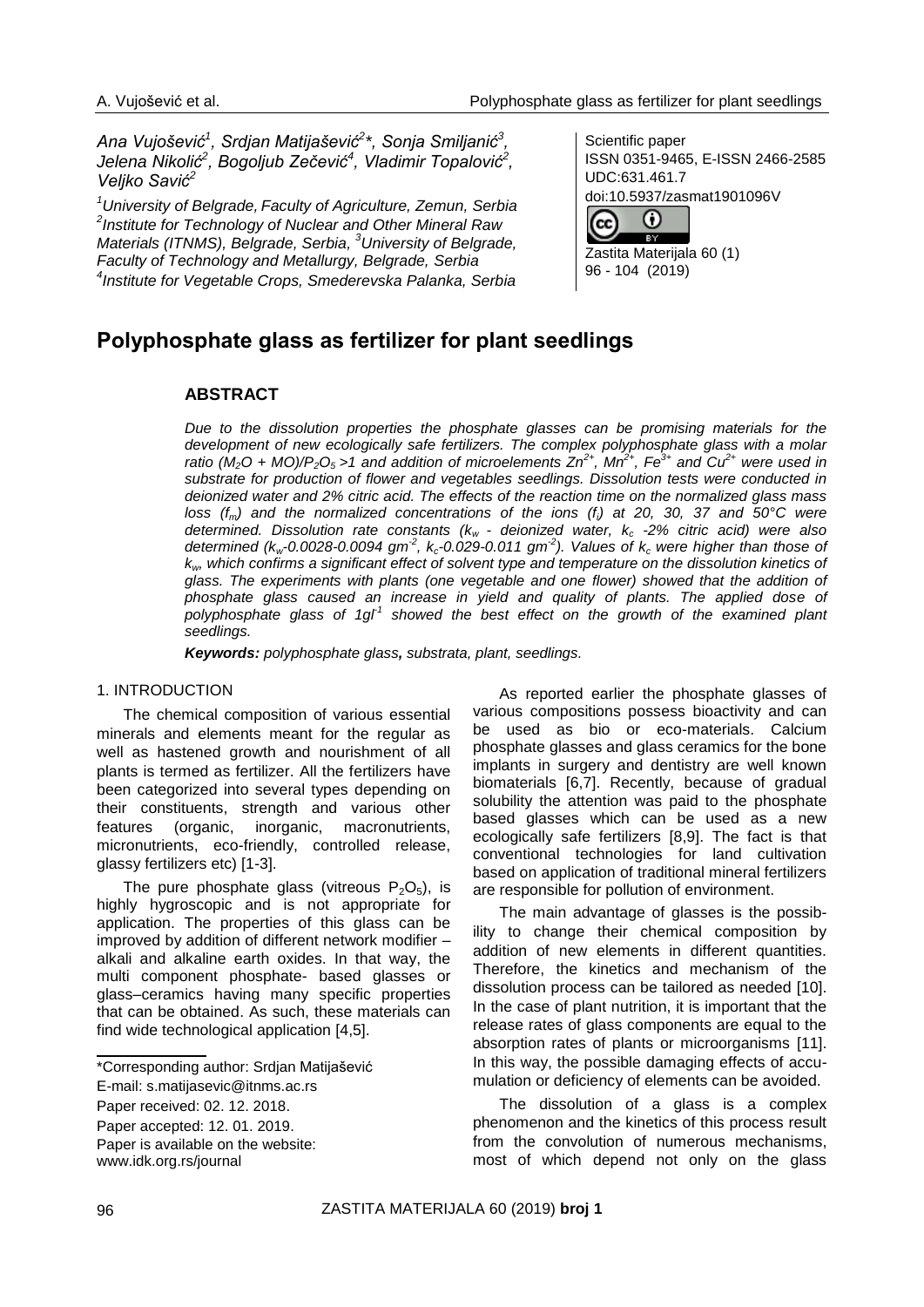*Ana Vujošević<sup>1</sup> , Srdjan Matijašević<sup>2</sup> \*, Sonja Smiljanić<sup>3</sup> , Jelena Nikolić<sup>2</sup> , Bogoljub Zečević<sup>4</sup> , Vladimir Topalović<sup>2</sup> , Veljko Savić<sup>2</sup>*

*<sup>1</sup>University of Belgrade, Faculty of Agriculture, Zemun, Serbia 2 Institute for Technology of Nuclear and Other Mineral Raw Materials (ITNMS), Belgrade, Serbia, <sup>3</sup>University of Belgrade, Faculty of Technology and Metallurgy, Belgrade, Serbia 4 Institute for Vegetable Crops, Smederevska Palanka, Serbia*

Scientific paper ISSN 0351-9465, E-ISSN 2466-2585 UDC:631.461.7 doi:10.5937/zasmat1901096V



Zastita Materijala 60 (1) 96 - 104 (2019)

# **Polyphosphate glass as fertilizer for plant seedlings**

# **ABSTRACT**

*Due to the dissolution properties the phosphate glasses can be promising materials for the development of new ecologically safe fertilizers. The complex polyphosphate glass with a molar ratio* ( $M_2$ O +  $MO$ )/P<sub>2</sub> $O_5$  >1 and addition of microelements  $Zn^{2+}$ ,  $Mn^{2+}$ ,  $Fe^{3+}$  and  $Cu^{2+}$  were used in *substrate for production of flower and vegetables seedlings. Dissolution tests were conducted in deionized water and 2% citric acid. The effects of the reaction time on the normalized glass mass loss (fm) and the normalized concentrations of the ions (fi) at 20, 30, 37 and 50°C were determined. Dissolution rate constants (kw - deionized water, k<sup>c</sup> -2% citric acid) were also*  determined ( $k_w$ -0.0028-0.0094 gm<sup>-2</sup>,  $k_c$ -0.029-0.011 gm<sup>-2</sup>). Values of  $k_c$  were higher than those of *kw, which confirms a significant effect of solvent type and temperature on the dissolution kinetics of glass. The experiments with plants (one vegetable and one flower) showed that the addition of phosphate glass caused an increase in yield and quality of plants. The applied dose of*  polyphosphate glass of 1gl<sup>1</sup> showed the best effect on the growth of the examined plant *seedlings.*

*Keywords: polyphosphate glass, substrata, plant, seedlings.*

## 1. INTRODUCTION

The chemical composition of various essential minerals and elements meant for the regular as well as hastened growth and nourishment of all plants is termed as fertilizer. All the fertilizers have been categorized into several types depending on their constituents, strength and various other features (organic, inorganic, macronutrients, micronutrients, eco-friendly, controlled release, glassy fertilizers etc) [1-3].

The pure phosphate glass (vitreous  $P_2O_5$ ), is highly hygroscopic and is not appropriate for application. The properties of this glass can be improved by addition of different network modifier – alkali and alkaline earth oxides. In that way, the multi component phosphate- based glasses or glass–ceramics having many specific properties that can be obtained. As such, these materials can find wide technological application [4,5].

\*Corresponding author: Srdjan Matijašević

Paper accepted: 12. 01. 2019.

Paper is available on the website: [www.idk.org.rs/journal](http://www.idk.org.rs/journal)

As reported earlier the phosphate glasses of various compositions possess bioactivity and can be used as bio or eco-materials. Calcium phosphate glasses and glass ceramics for the bone implants in surgery and dentistry are well known biomaterials [6,7]. Recently, because of gradual solubility the attention was paid to the phosphate based glasses which can be used as a new ecologically safe fertilizers [8,9]. The fact is that conventional technologies for land cultivation based on application of traditional mineral fertilizers are responsible for pollution of environment.

The main advantage of glasses is the possibility to change their chemical composition by addition of new elements in different quantities. Therefore, the kinetics and mechanism of the dissolution process can be tailored as needed [10]. In the case of plant nutrition, it is important that the release rates of glass components are equal to the absorption rates of plants or microorganisms [11]. In this way, the possible damaging effects of accumulation or deficiency of elements can be avoided.

The dissolution of a glass is a complex phenomenon and the kinetics of this process result from the convolution of numerous mechanisms, most of which depend not only on the glass

E-mail: [s.matijasevic@itnms.ac.rs](mailto:s.matijasevic@itnms.ac.rs)

Paper received: 02. 12. 2018.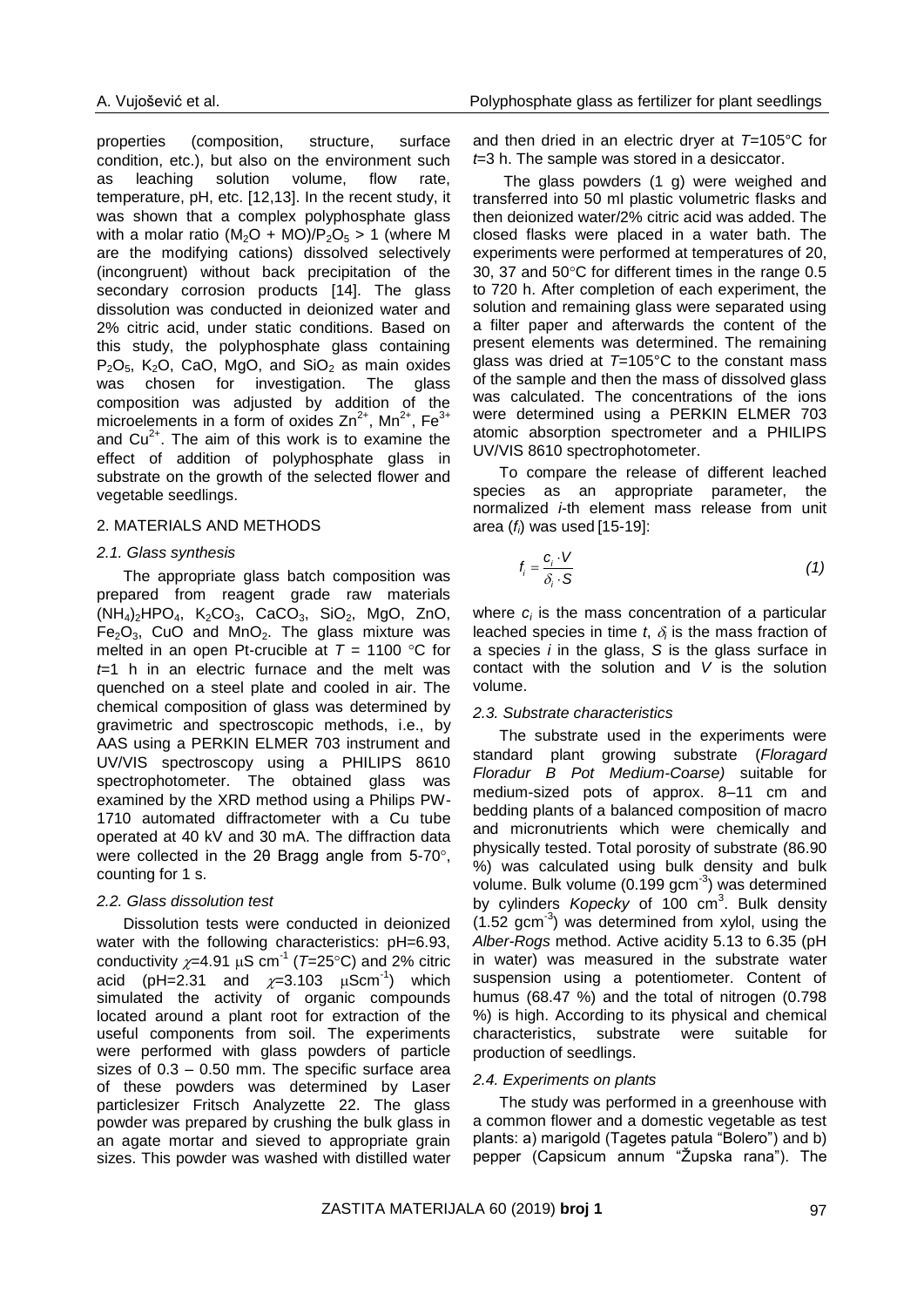properties (composition, structure, surface condition, etc.), but also on the environment such as leaching solution volume, flow rate, temperature, pH, etc. [12,13]. In the recent study, it was shown that a complex polyphosphate glass with a molar ratio  $(M_2O + MO)/P_2O_5 > 1$  (where M are the modifying cations) dissolved selectively (incongruent) without back precipitation of the secondary corrosion products [14]. The glass dissolution was conducted in deionized water and 2% citric acid, under static conditions. Based on this study, the polyphosphate glass containing  $P_2O_5$ , K<sub>2</sub>O, CaO, MgO, and SiO<sub>2</sub> as main oxides was chosen for investigation. The glass composition was adjusted by addition of the microelements in a form of oxides  $Zn^{2+}$ , Mn<sup>2+</sup>, Fe<sup>3+</sup> and  $Cu<sup>2+</sup>$ . The aim of this work is to examine the effect of addition of polyphosphate glass in substrate on the growth of the selected flower and vegetable seedlings.

### 2. MATERIALS AND METHODS

### *2.1. Glass synthesis*

The appropriate glass batch composition was prepared from reagent grade raw materials  $(NH_4)_2$ HPO<sub>4</sub>, K<sub>2</sub>CO<sub>3</sub>, CaCO<sub>3</sub>, SiO<sub>2</sub>, MgO, ZnO,  $Fe<sub>2</sub>O<sub>3</sub>$ , CuO and MnO<sub>2</sub>. The glass mixture was melted in an open Pt-crucible at  $T = 1100$  °C for *t*=1 h in an electric furnace and the melt was quenched on a steel plate and cooled in air. The chemical composition of glass was determined by gravimetric and spectroscopic methods, i.e., by AAS using a PERKIN ELMER 703 instrument and UV/VIS spectroscopy using a PHILIPS 8610 spectrophotometer. The obtained glass was examined by the XRD method using a Philips PW-1710 automated diffractometer with a Cu tube operated at 40 kV and 30 mA. The diffraction data were collected in the 2θ Bragg angle from 5-70°, counting for 1 s.

## *2.2. Glass dissolution test*

Dissolution tests were conducted in deionized water with the following characteristics: pH=6.93, conductivity  $\chi$ =4.91 µS cm<sup>-1</sup> (T=25°C) and 2% citric acid (pH=2.31 and  $\chi$ =3.103  $\mu$ Scm<sup>-1</sup>) which simulated the activity of organic compounds located around a plant root for extraction of the useful components from soil. The experiments were performed with glass powders of particle sizes of 0.3 – 0.50 mm. The specific surface area of these powders was determined by Laser particlesizer Fritsch Analyzette 22. The glass powder was prepared by crushing the bulk glass in an agate mortar and sieved to appropriate grain sizes. This powder was washed with distilled water

and then dried in an electric dryer at *T*=105°C for *t*=3 h. The sample was stored in a desiccator.

The glass powders (1 g) were weighed and transferred into 50 ml plastic volumetric flasks and then deionized water/2% citric acid was added. The closed flasks were placed in a water bath. The experiments were performed at temperatures of 20, 30, 37 and  $50^{\circ}$ C for different times in the range 0.5 to 720 h. After completion of each experiment, the solution and remaining glass were separated using a filter paper and afterwards the content of the present elements was determined. The remaining glass was dried at *T*=105°C to the constant mass of the sample and then the mass of dissolved glass was calculated. The concentrations of the ions were determined using a PERKIN ELMER 703 atomic absorption spectrometer and a PHILIPS UV/VIS 8610 spectrophotometer.

To compare the release of different leached species as an appropriate parameter, the normalized *i*-th element mass release from unit area (*fi*) was used [15-19]:

$$
f_i = \frac{c_i \cdot V}{\delta_i \cdot S} \tag{1}
$$

where  $c_i$  is the mass concentration of a particular leached species in time  $t$ ,  $\delta_i$  is the mass fraction of a species *i* in the glass, *S* is the glass surface in contact with the solution and *V* is the solution volume.

#### *2.3. Substrate characteristics*

The substrate used in the experiments were standard plant growing substrate (*Floragard Floradur B Pot Medium-Coarse)* suitable for medium-sized pots of approx. 8–11 cm and bedding plants of a balanced composition of macro and micronutrients which were chemically and physically tested. Total porosity of substrate (86.90 %) was calculated using bulk density and bulk volume. Bulk volume (0.199 gcm<sup>-3</sup>) was determined by cylinders Kopecky of 100 cm<sup>3</sup>. Bulk density  $(1.52 \text{ gcm}^{-3})$  was determined from xylol, using the *Alber-Rogs* method. Active acidity 5.13 to 6.35 (pH in water) was measured in the substrate water suspension using a potentiometer. Content of humus (68.47 %) and the total of nitrogen (0.798 %) is high. According to its physical and chemical characteristics, substrate were suitable for production of seedlings.

## *2.4. Experiments on plants*

The study was performed in a greenhouse with a common flower and a domestic vegetable as test plants: a) marigold (Tagetes patula "Bolero") and b) pepper (Capsicum annum "Župska rana"). The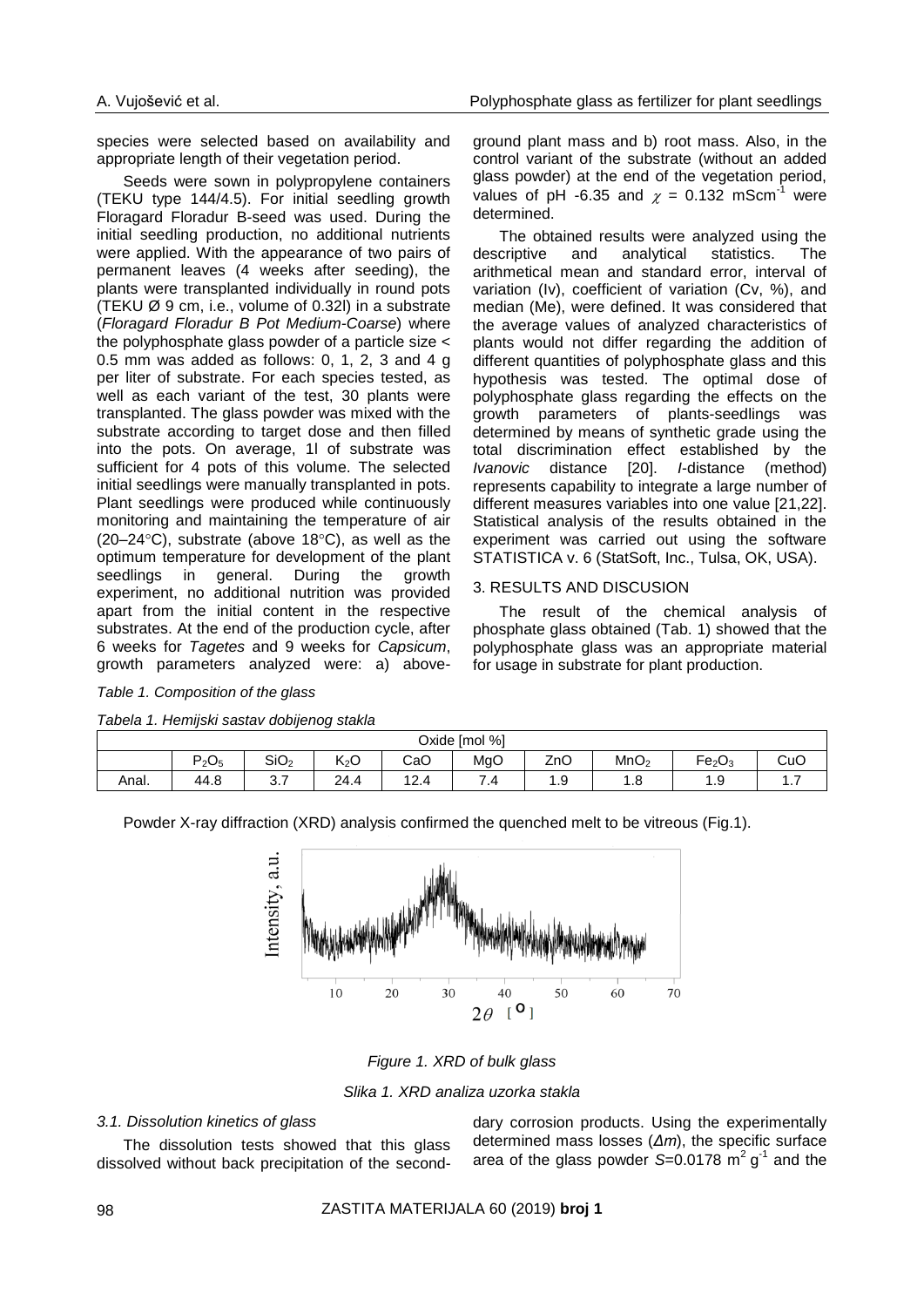species were selected based on availability and appropriate length of their vegetation period.

Seeds were sown in polypropylene containers (TEKU type 144/4.5). For initial seedling growth Floragard Floradur B-seed was used. During the initial seedling production, no additional nutrients were applied. With the appearance of two pairs of permanent leaves (4 weeks after seeding), the plants were transplanted individually in round pots (TEKU Ø 9 cm, i.e., volume of 0.32l) in a substrate (*Floragard Floradur B Pot Medium-Coarse*) where the polyphosphate glass powder of a particle size < 0.5 mm was added as follows: 0, 1, 2, 3 and 4 g per liter of substrate. For each species tested, as well as each variant of the test, 30 plants were transplanted. The glass powder was mixed with the substrate according to target dose and then filled into the pots. On average, 1l of substrate was sufficient for 4 pots of this volume. The selected initial seedlings were manually transplanted in pots. Plant seedlings were produced while continuously monitoring and maintaining the temperature of air  $(20-24\degree C)$ , substrate (above 18 $\degree C$ ), as well as the optimum temperature for development of the plant seedlings in general. During the growth experiment, no additional nutrition was provided apart from the initial content in the respective substrates. At the end of the production cycle, after 6 weeks for *Tagetes* and 9 weeks for *Capsicum*, growth parameters analyzed were: a) aboveground plant mass and b) root mass. Also, in the control variant of the substrate (without an added glass powder) at the end of the vegetation period, values of pH -6.35 and  $\chi = 0.132$  mScm<sup>-1</sup> were determined.

The obtained results were analyzed using the descriptive and analytical statistics. The arithmetical mean and standard error, interval of variation (Iv), coefficient of variation (Cv, %), and median (Me), were defined. It was considered that the average values of analyzed characteristics of plants would not differ regarding the addition of different quantities of polyphosphate glass and this hypothesis was tested. The optimal dose of polyphosphate glass regarding the effects on the growth parameters of plants-seedlings was determined by means of synthetic grade using the total discrimination effect established by the *Ivanovic* distance [20]. *I*-distance (method) represents capability to integrate a large number of different measures variables into one value [21,22]. Statistical analysis of the results obtained in the experiment was carried out using the software STATISTICA v. 6 (StatSoft, Inc., Tulsa, OK, USA).

## 3. RESULTS AND DISCUSION

The result of the chemical analysis of phosphate glass obtained (Tab. 1) showed that the polyphosphate glass was an appropriate material for usage in substrate for plant production.

|  |  | Table 1. Composition of the glass |  |  |  |
|--|--|-----------------------------------|--|--|--|
|--|--|-----------------------------------|--|--|--|

| Tabela 1. Hemijski sastav dobijenog stakla |  |  |  |  |  |
|--------------------------------------------|--|--|--|--|--|
|--------------------------------------------|--|--|--|--|--|

| Oxide [mol %] |                            |                  |                  |                                   |     |     |                  |                                     |          |
|---------------|----------------------------|------------------|------------------|-----------------------------------|-----|-----|------------------|-------------------------------------|----------|
|               | $\blacksquare$<br>$P_2O_5$ | SiO <sub>2</sub> | K <sub>2</sub> O | CaO                               | MgO | ZnO | MnO <sub>2</sub> | -<br>Fe <sub>2</sub> O <sub>3</sub> | CuC      |
| Anal.         | 44.8                       | ⌒<br>، ب         | 24<br>Z4.4       | $\sqrt{2}$<br>$\lambda$<br>$\sim$ | 4   | .   | ن. ا             | O<br>ن. ا                           | $\cdots$ |

Powder X-ray diffraction (XRD) analysis confirmed the quenched melt to be vitreous (Fig.1).



*Figure 1. XRD of bulk glass*

*Slika 1. XRD analiza uzorka stakla*

## *3.1. Dissolution kinetics of glass*

The dissolution tests showed that this glass dissolved without back precipitation of the seconddary corrosion products. Using the experimentally determined mass losses (*Δm*), the specific surface area of the glass powder  $S=0.0178$  m<sup>2</sup> g<sup>-1</sup> and the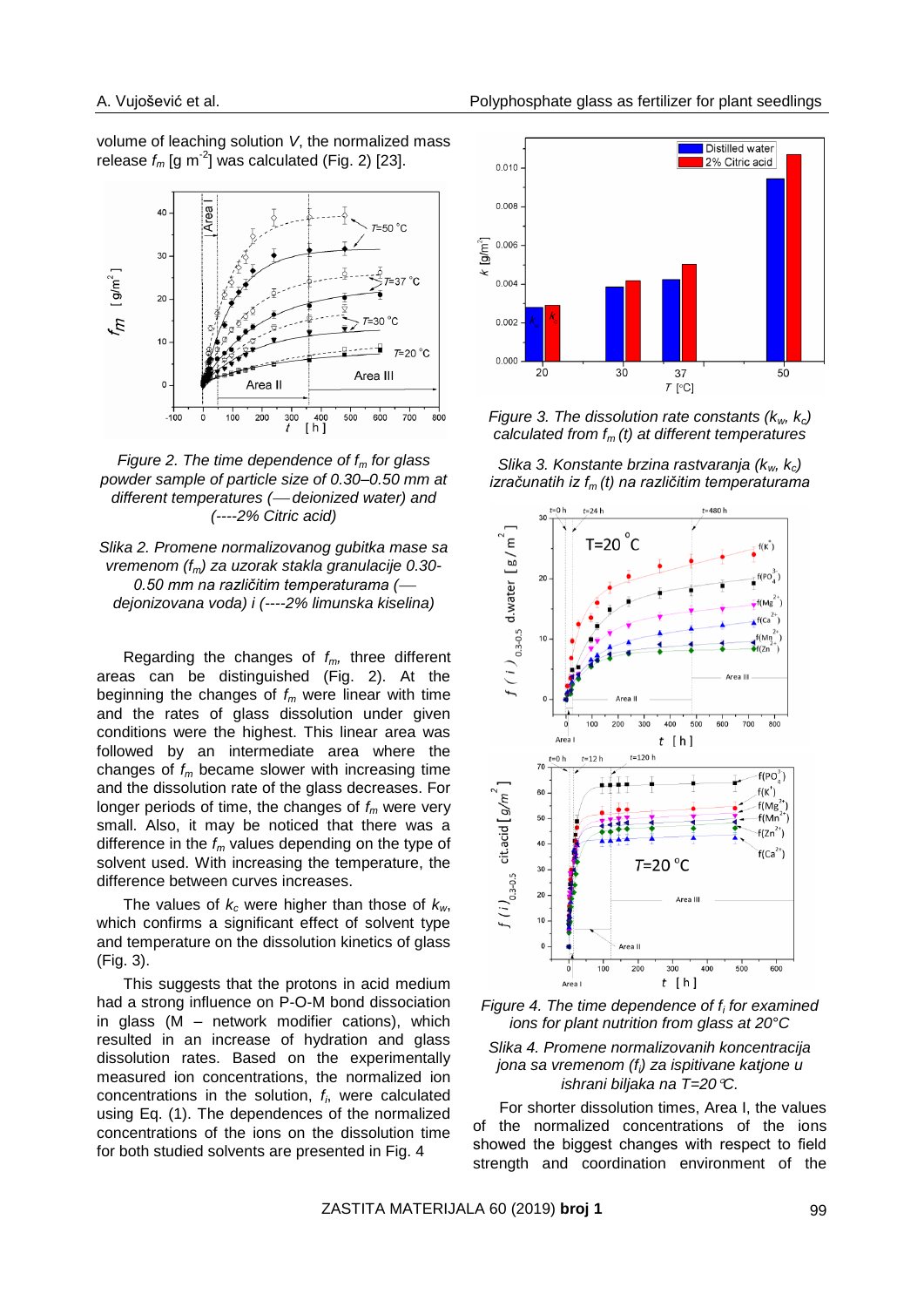volume of leaching solution *V*, the normalized mass release  $f_m$  [g m<sup>-2</sup>] was calculated (Fig. 2) [23].



*Figure 2. The time dependence of f<sup>m</sup> for glass powder sample of particle size of 0.30–0.50 mm at different temperatures ( deionized water) and (----2% Citric acid)*



Regarding the changes of *fm,* three different areas can be distinguished (Fig. 2). At the beginning the changes of *f<sup>m</sup>* were linear with time and the rates of glass dissolution under given conditions were the highest. This linear area was followed by an intermediate area where the changes of *f<sup>m</sup>* became slower with increasing time and the dissolution rate of the glass decreases. For longer periods of time, the changes of *f<sup>m</sup>* were very small. Also, it may be noticed that there was a difference in the *f<sup>m</sup>* values depending on the type of solvent used. With increasing the temperature, the difference between curves increases.

The values of *k<sup>c</sup>* were higher than those of *kw*, which confirms a significant effect of solvent type and temperature on the dissolution kinetics of glass (Fig. 3).

This suggests that the protons in acid medium had a strong influence on P-O-M bond dissociation in glass (M – network modifier cations), which resulted in an increase of hydration and glass dissolution rates. Based on the experimentally measured ion concentrations, the normalized ion concentrations in the solution, *f<sup>i</sup>* , were calculated using Eq. (1). The dependences of the normalized concentrations of the ions on the dissolution time for both studied solvents are presented in Fig. 4



*Figure 3. The dissolution rate constants (kw, kc) calculated from fm (t) at different temperatures*

*Slika 3. Konstante brzina rastvaranja (kw, kc) izračunatih iz fm (t) na različitim temperaturama*







For shorter dissolution times, Area I, the values of the normalized concentrations of the ions showed the biggest changes with respect to field strength and coordination environment of the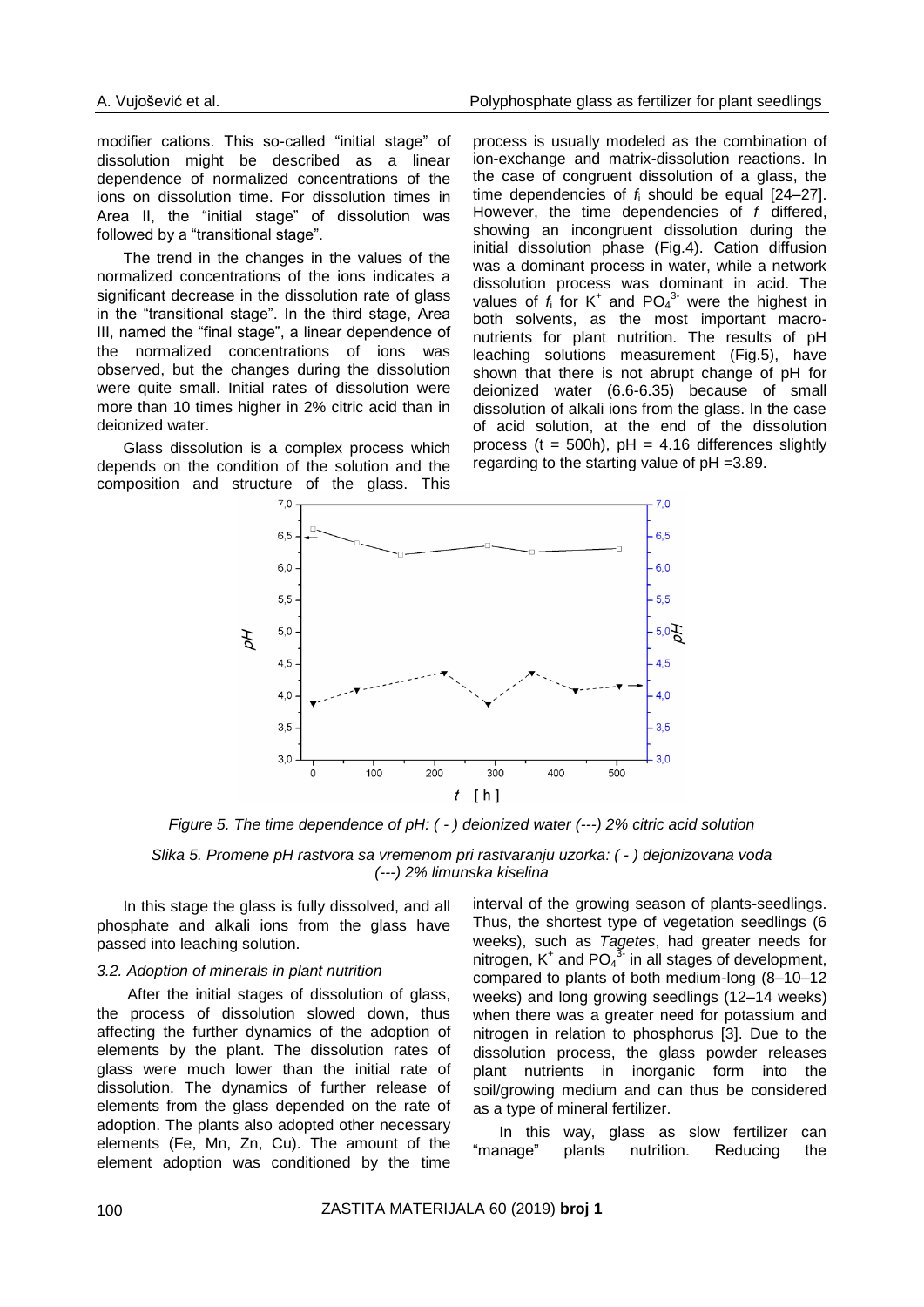modifier cations. This so-called "initial stage" of dissolution might be described as a linear dependence of normalized concentrations of the ions on dissolution time. For dissolution times in Area II, the "initial stage" of dissolution was followed by a "transitional stage".

The trend in the changes in the values of the normalized concentrations of the ions indicates a significant decrease in the dissolution rate of glass in the "transitional stage". In the third stage, Area III, named the "final stage", a linear dependence of the normalized concentrations of ions was observed, but the changes during the dissolution were quite small. Initial rates of dissolution were more than 10 times higher in 2% citric acid than in deionized water.

Glass dissolution is a complex process which depends on the condition of the solution and the composition and structure of the glass. This process is usually modeled as the combination of ion-exchange and matrix-dissolution reactions. In the case of congruent dissolution of a glass, the time dependencies of *f*<sup>i</sup> should be equal [24–27]. However, the time dependencies of *f*<sup>i</sup> differed, showing an incongruent dissolution during the initial dissolution phase (Fig.4). Cation diffusion was a dominant process in water, while a network dissolution process was dominant in acid. The values of  $f_i$  for  $K^+$  and  $PO_4^3$  were the highest in both solvents, as the most important macronutrients for plant nutrition. The results of pH leaching solutions measurement (Fig.5), have shown that there is not abrupt change of pH for deionized water (6.6-6.35) because of small dissolution of alkali ions from the glass. In the case of acid solution, at the end of the dissolution process ( $t = 500h$ ),  $pH = 4.16$  differences slightly regarding to the starting value of pH =3.89.



*Figure 5. The time dependence of pH: ( - ) deionized water (---) 2% citric acid solution*

*Slika 5. Promene pH rastvora sa vremenom pri rastvaranju uzorka: ( - ) dejonizovana voda (---) 2% limunska kiselina*

In this stage the glass is fully dissolved, and all phosphate and alkali ions from the glass have passed into leaching solution.

## *3.2. Adoption of minerals in plant nutrition*

After the initial stages of dissolution of glass, the process of dissolution slowed down, thus affecting the further dynamics of the adoption of elements by the plant. The dissolution rates of glass were much lower than the initial rate of dissolution. The dynamics of further release of elements from the glass depended on the rate of adoption. The plants also adopted other necessary elements (Fe, Mn, Zn, Cu). The amount of the element adoption was conditioned by the time interval of the growing season of plants-seedlings. Thus, the shortest type of vegetation seedlings (6 weeks), such as *Tagetes*, had greater needs for nitrogen,  $K^+$  and PO<sub>4</sub><sup>3</sup> in all stages of development, compared to plants of both medium-long (8–10–12 weeks) and long growing seedlings (12–14 weeks) when there was a greater need for potassium and nitrogen in relation to phosphorus [3]. Due to the dissolution process, the glass powder releases plant nutrients in inorganic form into the soil/growing medium and can thus be considered as a type of mineral fertilizer.

In this way, glass as slow fertilizer can "manage" plants nutrition. Reducing the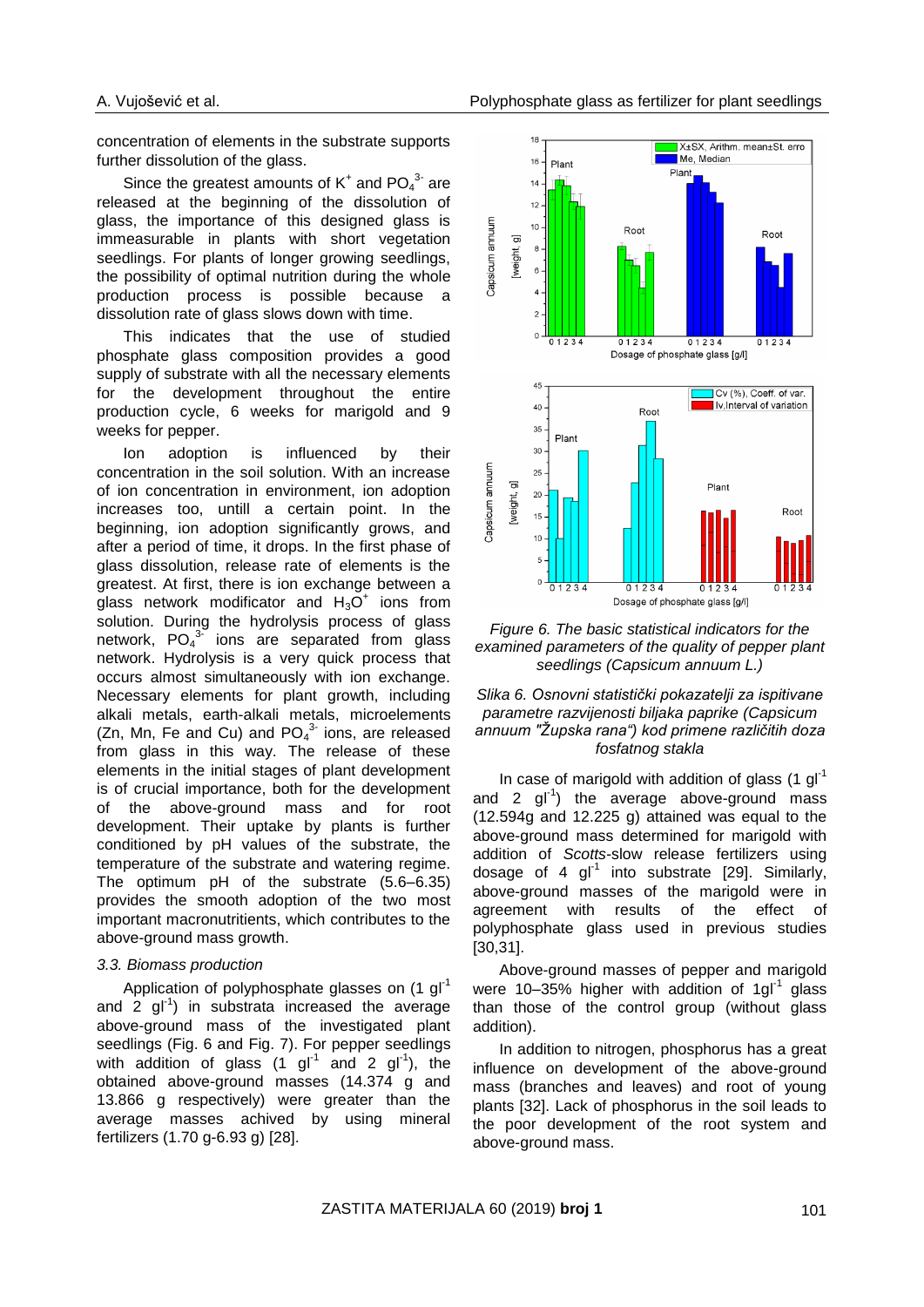concentration of elements in the substrate supports further dissolution of the glass.

Since the greatest amounts of  $K^+$  and  $PO_4^3$  are released at the beginning of the dissolution of glass, the importance of this designed glass is immeasurable in plants with short vegetation seedlings. For plants of longer growing seedlings, the possibility of optimal nutrition during the whole production process is possible because a dissolution rate of glass slows down with time.

This indicates that the use of studied phosphate glass composition provides a good supply of substrate with all the necessary elements for the development throughout the entire production cycle, 6 weeks for marigold and 9 weeks for pepper.

Ion adoption is influenced by their concentration in the soil solution. With an increase of ion concentration in environment, ion adoption increases too, untill a certain point. In the beginning, ion adoption significantly grows, and after a period of time, it drops. In the first phase of glass dissolution, release rate of elements is the greatest. At first, there is ion exchange between a glass network modificator and  $H_3O^+$  ions from solution. During the hydrolysis process of glass network,  $PO_4^{3}$  ions are separated from glass network. Hydrolysis is a very quick process that occurs almost simultaneously with ion exchange. Necessary elements for plant growth, including alkali metals, earth-alkali metals, microelements (Zn, Mn, Fe and Cu) and  $PO_4^{3}$  ions, are released from glass in this way. The release of these elements in the initial stages of plant development is of crucial importance, both for the development of the above-ground mass and for root development. Their uptake by plants is further conditioned by pH values of the substrate, the temperature of the substrate and watering regime. The optimum pH of the substrate (5.6–6.35) provides the smooth adoption of the two most important macronutritients, which contributes to the above-ground mass growth.

#### *3.3. Biomass production*

Application of polyphosphate glasses on (1 gl<sup>-1</sup> and  $2$  gl<sup>-1</sup>) in substrata increased the average above-ground mass of the investigated plant seedlings (Fig. 6 and Fig. 7). For pepper seedlings with addition of glass  $(1 \text{ gl}^{-1} \text{ and } 2 \text{ gl}^{-1})$ , the obtained above-ground masses (14.374 g and 13.866 g respectively) were greater than the average masses achived by using mineral fertilizers (1.70 g-6.93 g) [28].



*Figure 6. The basic statistical indicators for the examined parameters of the quality of pepper plant seedlings (Capsicum annuum L.)*

## *Slika 6. Osnovni statistički pokazatelji za ispitivane parametre razvijenosti biljaka paprike (Capsicum annuum "Župska rana") kod primene različitih doza fosfatnog stakla*

In case of marigold with addition of glass  $(1 \text{ gI}^{-1})$ and 2  $gI^{-1}$ ) the average above-ground mass (12.594g and 12.225 g) attained was equal to the above-ground mass determined for marigold with addition of *Scotts-*slow release fertilizers using dosage of 4  $gl^{-1}$  into substrate [29]. Similarly, above-ground masses of the marigold were in agreement with results of the effect of polyphosphate glass used in previous studies [30,31].

Above-ground masses of pepper and marigold were 10-35% higher with addition of 1gl<sup>-1</sup> glass than those of the control group (without glass addition).

In addition to nitrogen, phosphorus has a great influence on development of the above-ground mass (branches and leaves) and root of young plants [32]. Lack of phosphorus in the soil leads to the poor development of the root system and above-ground mass.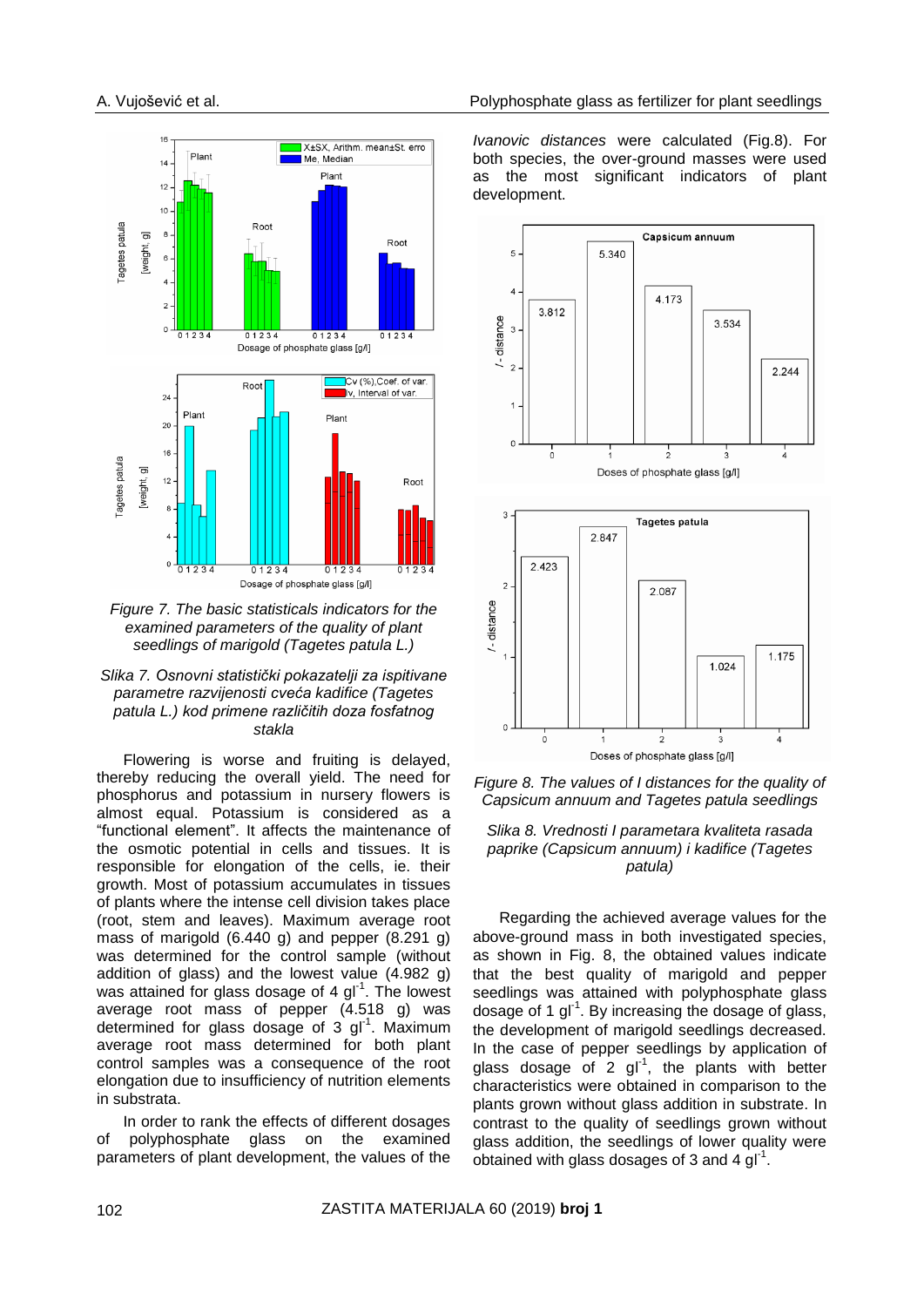

*Figure 7. The basic statisticals indicators for the examined parameters of the quality of plant seedlings of marigold (Tagetes patula L.)*



Flowering is worse and fruiting is delayed, thereby reducing the overall yield. The need for phosphorus and potassium in nursery flowers is almost equal. Potassium is considered as a "functional element". It affects the maintenance of the osmotic potential in cells and tissues. It is responsible for elongation of the cells, ie. their growth. Most of potassium accumulates in tissues of plants where the intense cell division takes place (root, stem and leaves). Maximum average root mass of marigold (6.440 g) and pepper (8.291 g) was determined for the control sample (without addition of glass) and the lowest value (4.982 g) was attained for glass dosage of 4 gl<sup>-1</sup>. The lowest average root mass of pepper (4.518 g) was determined for glass dosage of  $3$  gl<sup>-1</sup>. Maximum average root mass determined for both plant control samples was a consequence of the root elongation due to insufficiency of nutrition elements in substrata.

In order to rank the effects of different dosages of polyphosphate glass on the examined parameters of plant development, the values of the

*Ivanovic distances* were calculated (Fig.8). For both species, the over-ground masses were used as the most significant indicators of plant development.



*Figure 8. The values of I distances for the quality of Capsicum annuum and Tagetes patula seedlings*



Regarding the achieved average values for the above-ground mass in both investigated species, as shown in Fig. 8, the obtained values indicate that the best quality of marigold and pepper seedlings was attained with polyphosphate glass dosage of 1  $gl^{-1}$ . By increasing the dosage of glass, the development of marigold seedlings decreased. In the case of pepper seedlings by application of glass dosage of 2  $gl^{-1}$ , the plants with better characteristics were obtained in comparison to the plants grown without glass addition in substrate. In contrast to the quality of seedlings grown without glass addition, the seedlings of lower quality were obtained with glass dosages of 3 and 4  $gl^{-1}$ .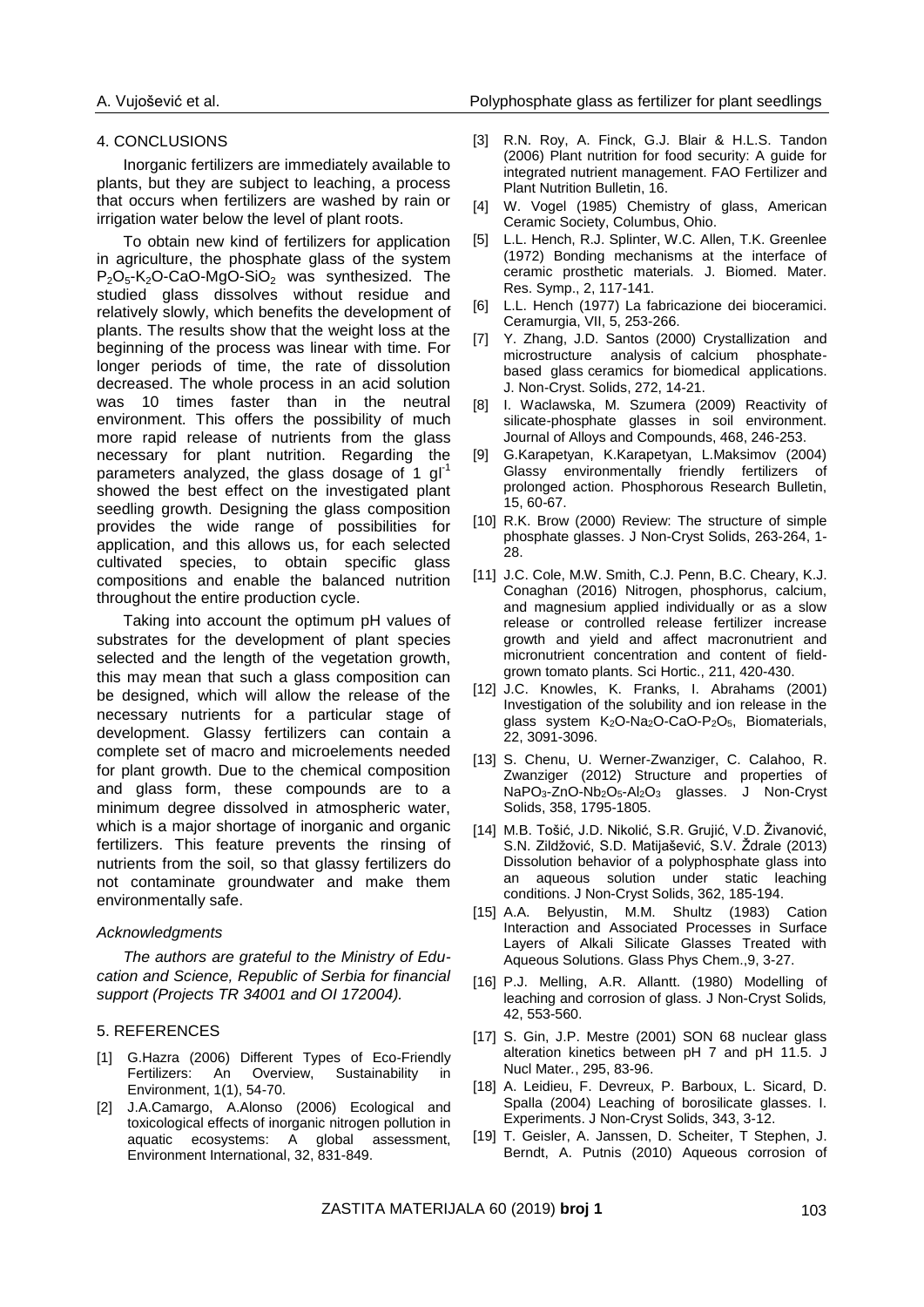#### 4. CONCLUSIONS

Inorganic fertilizers are immediately available to plants, but they are subject to leaching, a process that occurs when fertilizers are washed by rain or irrigation water below the level of plant roots.

To obtain new kind of fertilizers for application in agriculture, the phosphate glass of the system P<sub>2</sub>O<sub>5</sub>-K<sub>2</sub>O-CaO-MgO-SiO<sub>2</sub> was synthesized. The studied glass dissolves without residue and relatively slowly, which benefits the development of plants. The results show that the weight loss at the beginning of the process was linear with time. For longer periods of time, the rate of dissolution decreased. The whole process in an acid solution was 10 times faster than in the neutral environment. This offers the possibility of much more rapid release of nutrients from the glass necessary for plant nutrition. Regarding the parameters analyzed, the glass dosage of 1 gl<sup>-1</sup> showed the best effect on the investigated plant seedling growth. Designing the glass composition provides the wide range of possibilities for application, and this allows us, for each selected cultivated species, to obtain specific glass compositions and enable the balanced nutrition throughout the entire production cycle.

Taking into account the optimum pH values of substrates for the development of plant species selected and the length of the vegetation growth, this may mean that such a glass composition can be designed, which will allow the release of the necessary nutrients for a particular stage of development. Glassy fertilizers can contain a complete set of macro and microelements needed for plant growth. Due to the chemical composition and glass form, these compounds are to a minimum degree dissolved in atmospheric water, which is a major shortage of inorganic and organic fertilizers. This feature prevents the rinsing of nutrients from the soil, so that glassy fertilizers do not contaminate groundwater and make them environmentally safe.

#### *Acknowledgments*

*The authors are grateful to the Ministry of Education and Science, Republic of Serbia for financial support (Projects TR 34001 and OI 172004).*

#### 5. REFERENCES

- [1] G.Hazra (2006) Different Types of Eco-Friendly Fertilizers: An Overview, Sustainability in Environment, 1(1), 54-70.
- [2] J.A.Camargo, A.Alonso (2006) Ecological and toxicological effects of inorganic nitrogen pollution in aquatic ecosystems: A global assessment, Environment International, 32, 831-849.
- [3] R.N. Roy, A. Finck, G.J. Blair & H.L.S. Tandon (2006) Plant nutrition for food security: A guide for integrated nutrient management. FAO Fertilizer and Plant Nutrition Bulletin, 16.
- [4] W. Vogel (1985) Chemistry of glass, American Ceramic Society, Columbus, Ohio.
- [5] L.L. Hench, R.J. Splinter, W.C. Allen, T.K. Greenlee (1972) Bonding mechanisms at the interface of ceramic prosthetic materials. J. Biomed. Mater. Res. Symp., 2, 117-141.
- [6] L.L. Hench (1977) La fabricazione dei bioceramici. Ceramurgia, VII, 5, 253-266.
- [7] Y. Zhang, J.D. Santos (2000) Crystallization and microstructure analysis of calcium phosphatebased glass ceramics for biomedical applications. J. Non*-*Cryst. Solids, 272, 14-21.
- [8] I. Waclawska, M. Szumera (2009) Reactivity of silicate-phosphate glasses in soil environment. Journal of Alloys and Compounds, 468, 246-253.
- [9] G.Karapetyan, K.Karapetyan, L.Maksimov (2004) Glassy environmentally friendly fertilizers of prolonged action. Phosphorous Research Bulletin, 15, 60-67.
- [10] R.K. Brow (2000) Review: The structure of simple phosphate glasses. J Non-Cryst Solids, 263-264, 1- 28.
- [11] J.C. Cole, M.W. Smith, C.J. Penn, B.C. Cheary, K.J. Conaghan (2016) Nitrogen, phosphorus, calcium, and magnesium applied individually or as a slow release or controlled release fertilizer increase growth and yield and affect macronutrient and micronutrient concentration and content of fieldgrown tomato plants. Sci Hortic., 211, 420-430.
- [12] J.C. Knowles, K. Franks, I. Abrahams (2001) Investigation of the solubility and ion release in the glass system K<sub>2</sub>O-Na<sub>2</sub>O-CaO-P<sub>2</sub>O<sub>5</sub>, Biomaterials, 22, 3091-3096.
- [13] S. Chenu, U. Werner-Zwanziger, C. Calahoo, R. Zwanziger (2012) Structure and properties of NaPO3-ZnO-Nb2O5-Al2O<sup>3</sup> glasses. J Non-Cryst Solids, 358, 1795-1805.
- [14] M.B. Tošić, J.D. Nikolić, S.R. Grujić, V.D. Živanović, S.N. Zildžović, S.D. Matijašević, S.V. Ždrale (2013) Dissolution behavior of a polyphosphate glass into an aqueous solution under static leaching conditions. J Non-Cryst Solids, 362, 185-194.
- [15] A.A. Belyustin, M.M. Shultz (1983) Cation Interaction and Associated Processes in Surface Layers of Alkali Silicate Glasses Treated with Aqueous Solutions. Glass Phys Chem.,9, 3-27.
- [16] P.J. Melling, A.R. Allantt. (1980) Modelling of leaching and corrosion of glass. J Non-Cryst Solids*,* 42, 553-560.
- [17] S. Gin, J.P. Mestre (2001) SON 68 nuclear glass alteration kinetics between pH 7 and pH 11.5. J Nucl Mater*.*, 295, 83-96.
- [18] A. Leidieu, F. Devreux, P. Barboux, L. Sicard, D. Spalla (2004) Leaching of borosilicate glasses. I. Experiments. J Non-Cryst Solids, 343, 3-12.
- [19] T. Geisler, A. Janssen, D. Scheiter, T Stephen, J. Berndt, A. Putnis (2010) Aqueous corrosion of